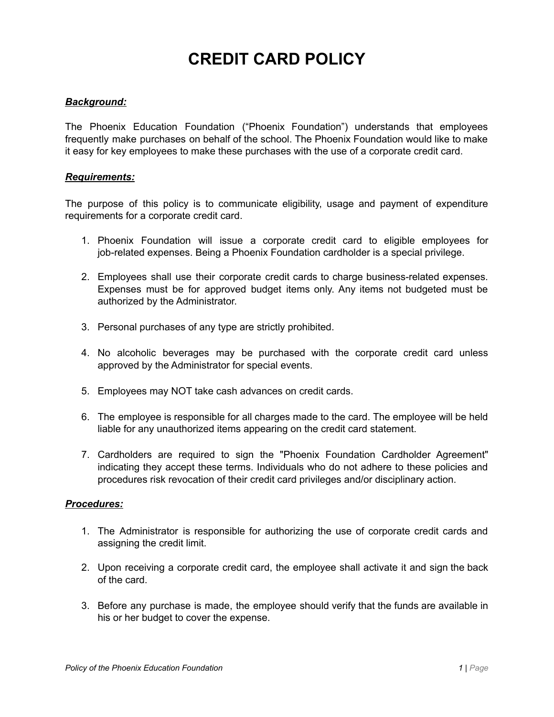# **CREDIT CARD POLICY**

### *Background:*

The Phoenix Education Foundation ("Phoenix Foundation") understands that employees frequently make purchases on behalf of the school. The Phoenix Foundation would like to make it easy for key employees to make these purchases with the use of a corporate credit card.

#### *Requirements:*

The purpose of this policy is to communicate eligibility, usage and payment of expenditure requirements for a corporate credit card.

- 1. Phoenix Foundation will issue a corporate credit card to eligible employees for job-related expenses. Being a Phoenix Foundation cardholder is a special privilege.
- 2. Employees shall use their corporate credit cards to charge business-related expenses. Expenses must be for approved budget items only. Any items not budgeted must be authorized by the Administrator.
- 3. Personal purchases of any type are strictly prohibited.
- 4. No alcoholic beverages may be purchased with the corporate credit card unless approved by the Administrator for special events.
- 5. Employees may NOT take cash advances on credit cards.
- 6. The employee is responsible for all charges made to the card. The employee will be held liable for any unauthorized items appearing on the credit card statement.
- 7. Cardholders are required to sign the "Phoenix Foundation Cardholder Agreement" indicating they accept these terms. Individuals who do not adhere to these policies and procedures risk revocation of their credit card privileges and/or disciplinary action.

#### *Procedures:*

- 1. The Administrator is responsible for authorizing the use of corporate credit cards and assigning the credit limit.
- 2. Upon receiving a corporate credit card, the employee shall activate it and sign the back of the card.
- 3. Before any purchase is made, the employee should verify that the funds are available in his or her budget to cover the expense.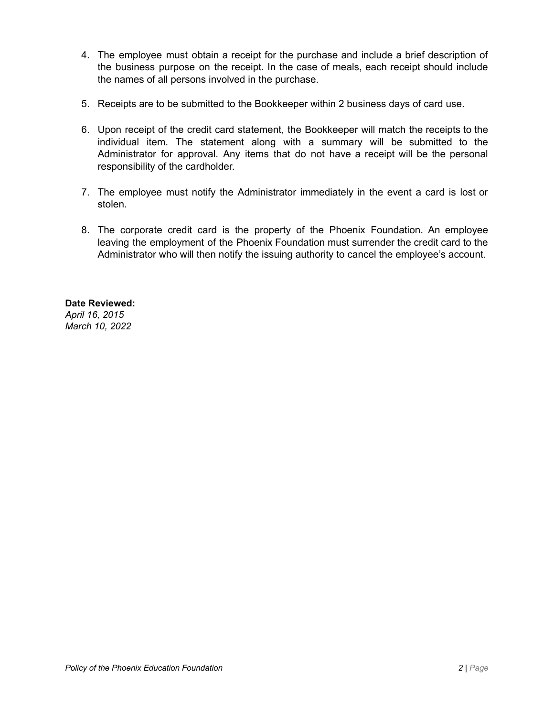- 4. The employee must obtain a receipt for the purchase and include a brief description of the business purpose on the receipt. In the case of meals, each receipt should include the names of all persons involved in the purchase.
- 5. Receipts are to be submitted to the Bookkeeper within 2 business days of card use.
- 6. Upon receipt of the credit card statement, the Bookkeeper will match the receipts to the individual item. The statement along with a summary will be submitted to the Administrator for approval. Any items that do not have a receipt will be the personal responsibility of the cardholder.
- 7. The employee must notify the Administrator immediately in the event a card is lost or stolen.
- 8. The corporate credit card is the property of the Phoenix Foundation. An employee leaving the employment of the Phoenix Foundation must surrender the credit card to the Administrator who will then notify the issuing authority to cancel the employee's account.

### **Date Reviewed:**

*April 16, 2015 March 10, 2022*